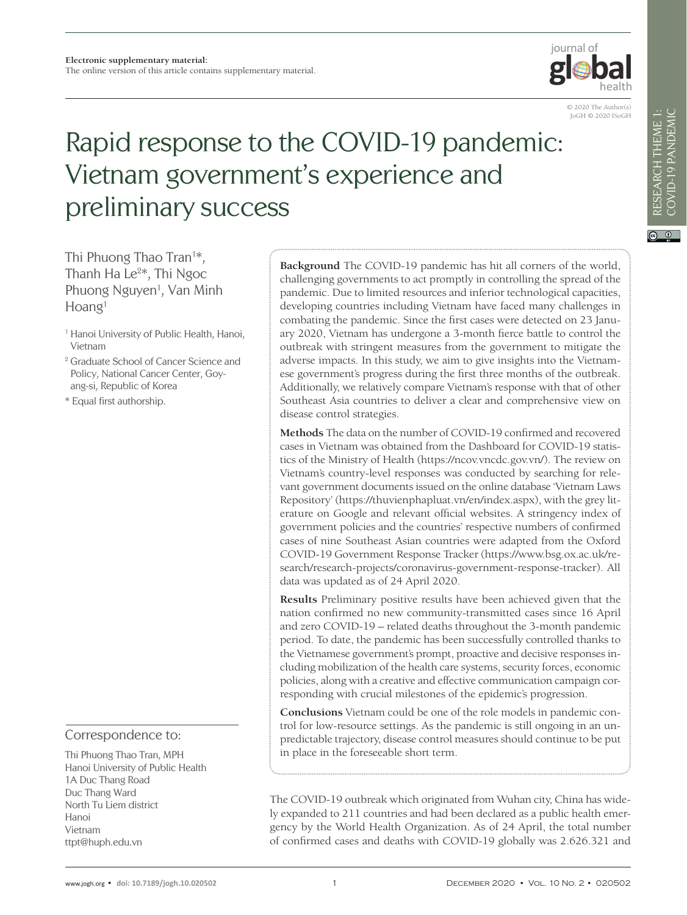

© 2020 The Author(s) JoGH © 2020 ISoGH

# Rapid response to the COVID-19 pandemic: Vietnam government's experience and preliminary success

Thi Phuong Thao Tran<sup>1\*</sup>, Thanh Ha Le<sup>2\*</sup>, Thi Ngoc Phuong Nguyen<sup>1</sup>, Van Minh  $H<sub>o</sub>$ ang<sup>1</sup>

- <sup>1</sup> Hanoi University of Public Health, Hanoi, Vietnam
- <sup>2</sup> Graduate School of Cancer Science and Policy, National Cancer Center, Goyang-si, Republic of Korea
- \* Equal first authorship.

# Correspondence to:

Thi Phuong Thao Tran, MPH Hanoi University of Public Health 1A Duc Thang Road Duc Thang Ward North Tu Liem district Hanoi Vietnam ttpt@huph.edu.vn

**Background** The COVID-19 pandemic has hit all corners of the world, challenging governments to act promptly in controlling the spread of the pandemic. Due to limited resources and inferior technological capacities, developing countries including Vietnam have faced many challenges in combating the pandemic. Since the first cases were detected on 23 January 2020, Vietnam has undergone a 3-month fierce battle to control the outbreak with stringent measures from the government to mitigate the adverse impacts. In this study, we aim to give insights into the Vietnamese government's progress during the first three months of the outbreak. Additionally, we relatively compare Vietnam's response with that of other Southeast Asia countries to deliver a clear and comprehensive view on disease control strategies.

**Methods** The data on the number of COVID-19 confirmed and recovered cases in Vietnam was obtained from the Dashboard for COVID-19 statistics of the Ministry of Health (https://ncov.vncdc.gov.vn/). The review on Vietnam's country-level responses was conducted by searching for relevant government documents issued on the online database 'Vietnam Laws Repository' (https://thuvienphapluat.vn/en/index.aspx), with the grey literature on Google and relevant official websites. A stringency index of government policies and the countries' respective numbers of confirmed cases of nine Southeast Asian countries were adapted from the Oxford COVID-19 Government Response Tracker (https://www.bsg.ox.ac.uk/research/research-projects/coronavirus-government-response-tracker). All data was updated as of 24 April 2020.

**Results** Preliminary positive results have been achieved given that the nation confirmed no new community-transmitted cases since 16 April and zero COVID-19 – related deaths throughout the 3-month pandemic period. To date, the pandemic has been successfully controlled thanks to the Vietnamese government's prompt, proactive and decisive responses including mobilization of the health care systems, security forces, economic policies, along with a creative and effective communication campaign corresponding with crucial milestones of the epidemic's progression.

**Conclusions** Vietnam could be one of the role models in pandemic control for low-resource settings. As the pandemic is still ongoing in an unpredictable trajectory, disease control measures should continue to be put in place in the foreseeable short term.

The COVID-19 outbreak which originated from Wuhan city, China has widely expanded to 211 countries and had been declared as a public health emergency by the World Health Organization. As of 24 April, the total number of confirmed cases and deaths with COVID-19 globally was 2.626.321 and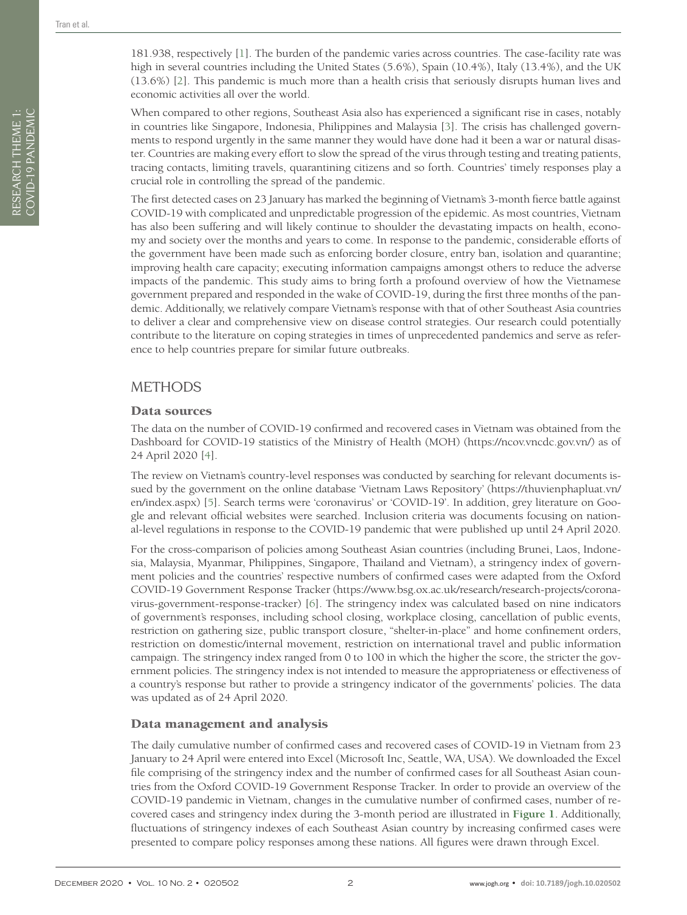181.938, respectively [[1](#page-10-0)]. The burden of the pandemic varies across countries. The case-facility rate was high in several countries including the United States (5.6%), Spain (10.4%), Italy (13.4%), and the UK (13.6%) [[2](#page-10-1)]. This pandemic is much more than a health crisis that seriously disrupts human lives and economic activities all over the world.

When compared to other regions, Southeast Asia also has experienced a significant rise in cases, notably in countries like Singapore, Indonesia, Philippines and Malaysia [[3](#page-10-2)]. The crisis has challenged governments to respond urgently in the same manner they would have done had it been a war or natural disaster. Countries are making every effort to slow the spread of the virus through testing and treating patients, tracing contacts, limiting travels, quarantining citizens and so forth. Countries' timely responses play a crucial role in controlling the spread of the pandemic.

The first detected cases on 23 January has marked the beginning of Vietnam's 3-month fierce battle against COVID-19 with complicated and unpredictable progression of the epidemic. As most countries, Vietnam has also been suffering and will likely continue to shoulder the devastating impacts on health, economy and society over the months and years to come. In response to the pandemic, considerable efforts of the government have been made such as enforcing border closure, entry ban, isolation and quarantine; improving health care capacity; executing information campaigns amongst others to reduce the adverse impacts of the pandemic. This study aims to bring forth a profound overview of how the Vietnamese government prepared and responded in the wake of COVID-19, during the first three months of the pandemic. Additionally, we relatively compare Vietnam's response with that of other Southeast Asia countries to deliver a clear and comprehensive view on disease control strategies. Our research could potentially contribute to the literature on coping strategies in times of unprecedented pandemics and serve as reference to help countries prepare for similar future outbreaks.

# METHODS

### Data sources

The data on the number of COVID-19 confirmed and recovered cases in Vietnam was obtained from the Dashboard for COVID-19 statistics of the Ministry of Health (MOH) (https://ncov.vncdc.gov.vn/) as of 24 April 2020 [\[4](#page-10-3)].

The review on Vietnam's country-level responses was conducted by searching for relevant documents issued by the government on the online database 'Vietnam Laws Repository' (https://thuvienphapluat.vn/ en/index.aspx) [[5](#page-10-4)]. Search terms were 'coronavirus' or 'COVID-19'. In addition, grey literature on Google and relevant official websites were searched. Inclusion criteria was documents focusing on national-level regulations in response to the COVID-19 pandemic that were published up until 24 April 2020.

For the cross-comparison of policies among Southeast Asian countries (including Brunei, Laos, Indonesia, Malaysia, Myanmar, Philippines, Singapore, Thailand and Vietnam), a stringency index of government policies and the countries' respective numbers of confirmed cases were adapted from the Oxford COVID-19 Government Response Tracker (https://www.bsg.ox.ac.uk/research/research-projects/coronavirus-government-response-tracker) [\[6](#page-10-5)]. The stringency index was calculated based on nine indicators of government's responses, including school closing, workplace closing, cancellation of public events, restriction on gathering size, public transport closure, "shelter-in-place" and home confinement orders, restriction on domestic/internal movement, restriction on international travel and public information campaign. The stringency index ranged from 0 to 100 in which the higher the score, the stricter the government policies. The stringency index is not intended to measure the appropriateness or effectiveness of a country's response but rather to provide a stringency indicator of the governments' policies. The data was updated as of 24 April 2020.

# Data management and analysis

The daily cumulative number of confirmed cases and recovered cases of COVID-19 in Vietnam from 23 January to 24 April were entered into Excel (Microsoft Inc, Seattle, WA, USA). We downloaded the Excel file comprising of the stringency index and the number of confirmed cases for all Southeast Asian countries from the Oxford COVID-19 Government Response Tracker. In order to provide an overview of the COVID-19 pandemic in Vietnam, changes in the cumulative number of confirmed cases, number of recovered cases and stringency index during the 3-month period are illustrated in **[Figure 1](#page-2-0)**. Additionally, fluctuations of stringency indexes of each Southeast Asian country by increasing confirmed cases were presented to compare policy responses among these nations. All figures were drawn through Excel.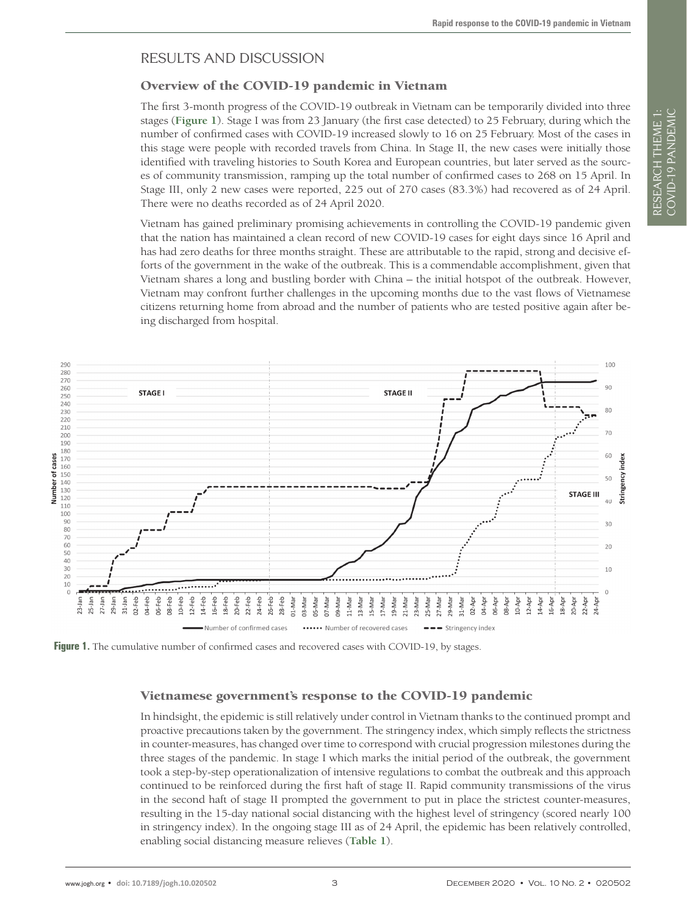# RESULTS AND DISCUSSION

# Overview of the COVID-19 pandemic in Vietnam

The first 3-month progress of the COVID-19 outbreak in Vietnam can be temporarily divided into three stages (**[Figure 1](#page-2-0)**). Stage I was from 23 January (the first case detected) to 25 February, during which the number of confirmed cases with COVID-19 increased slowly to 16 on 25 February. Most of the cases in this stage were people with recorded travels from China. In Stage II, the new cases were initially those identified with traveling histories to South Korea and European countries, but later served as the sources of community transmission, ramping up the total number of confirmed cases to 268 on 15 April. In Stage III, only 2 new cases were reported, 225 out of 270 cases (83.3%) had recovered as of 24 April. There were no deaths recorded as of 24 April 2020.

Vietnam has gained preliminary promising achievements in controlling the COVID-19 pandemic given that the nation has maintained a clean record of new COVID-19 cases for eight days since 16 April and has had zero deaths for three months straight. These are attributable to the rapid, strong and decisive efforts of the government in the wake of the outbreak. This is a commendable accomplishment, given that Vietnam shares a long and bustling border with China – the initial hotspot of the outbreak. However, Vietnam may confront further challenges in the upcoming months due to the vast flows of Vietnamese citizens returning home from abroad and the number of patients who are tested positive again after being discharged from hospital.

<span id="page-2-0"></span>

**Figure 1.** The cumulative number of confirmed cases and recovered cases with COVID-19, by stages.

# Vietnamese government's response to the COVID-19 pandemic

In hindsight, the epidemic is still relatively under control in Vietnam thanks to the continued prompt and proactive precautions taken by the government. The stringency index, which simply reflects the strictness in counter-measures, has changed over time to correspond with crucial progression milestones during the three stages of the pandemic. In stage I which marks the initial period of the outbreak, the government took a step-by-step operationalization of intensive regulations to combat the outbreak and this approach continued to be reinforced during the first haft of stage II. Rapid community transmissions of the virus in the second haft of stage II prompted the government to put in place the strictest counter-measures, resulting in the 15-day national social distancing with the highest level of stringency (scored nearly 100 in stringency index). In the ongoing stage III as of 24 April, the epidemic has been relatively controlled, enabling social distancing measure relieves (**[Table 1](#page-3-0)**).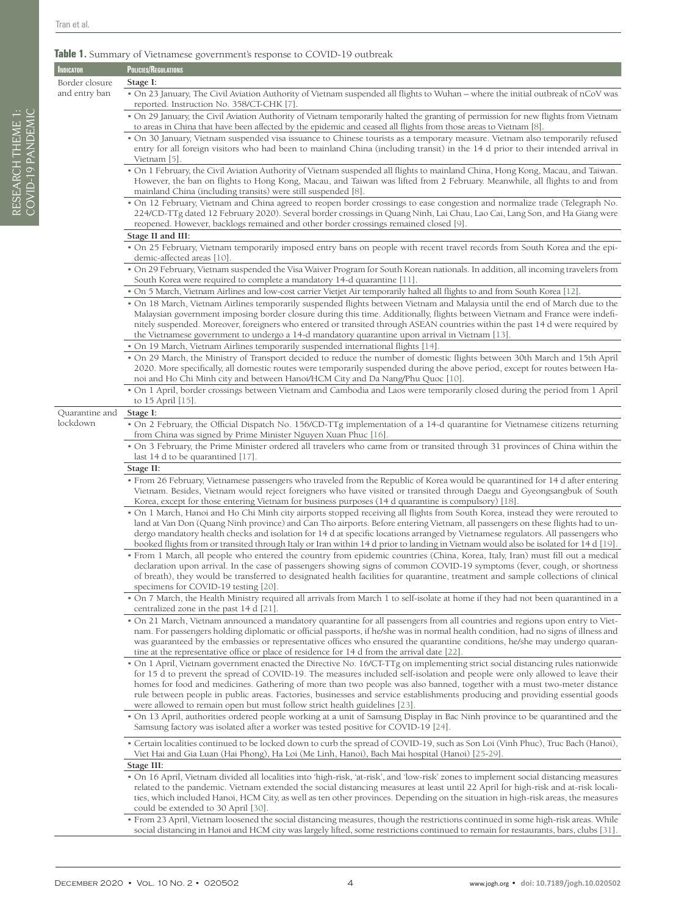RESEARCH THEME 1: COVID-19 PANDEMIC

RESEARCH THEME 1:<br>COVID-19 PANDEMIC

#### <span id="page-3-0"></span>**Table 1.** Summary of Vietnamese government's response to COVID-19 outbreak

| <b>INDICATOR</b> | POLICIES/REGULATIONS                                                                                                                                                                                                                                                                                                                                                                                                                                                                                                                                                                                                            |
|------------------|---------------------------------------------------------------------------------------------------------------------------------------------------------------------------------------------------------------------------------------------------------------------------------------------------------------------------------------------------------------------------------------------------------------------------------------------------------------------------------------------------------------------------------------------------------------------------------------------------------------------------------|
| Border closure   | Stage I:                                                                                                                                                                                                                                                                                                                                                                                                                                                                                                                                                                                                                        |
| and entry ban    | . On 23 January, The Civil Aviation Authority of Vietnam suspended all flights to Wuhan - where the initial outbreak of nCoV was<br>reported. Instruction No. 358/CT-CHK [7].                                                                                                                                                                                                                                                                                                                                                                                                                                                   |
|                  | . On 29 January, the Civil Aviation Authority of Vietnam temporarily halted the granting of permission for new flights from Vietnam<br>to areas in China that have been affected by the epidemic and ceased all flights from those areas to Vietnam [8].                                                                                                                                                                                                                                                                                                                                                                        |
|                  | • On 30 January, Vietnam suspended visa issuance to Chinese tourists as a temporary measure. Vietnam also temporarily refused<br>entry for all foreign visitors who had been to mainland China (including transit) in the 14 d prior to their intended arrival in<br>Vietnam [5].                                                                                                                                                                                                                                                                                                                                               |
|                  | • On 1 February, the Civil Aviation Authority of Vietnam suspended all flights to mainland China, Hong Kong, Macau, and Taiwan.<br>However, the ban on flights to Hong Kong, Macau, and Taiwan was lifted from 2 February. Meanwhile, all flights to and from<br>mainland China (including transits) were still suspended [8].                                                                                                                                                                                                                                                                                                  |
|                  | • On 12 February, Vietnam and China agreed to reopen border crossings to ease congestion and normalize trade (Telegraph No.<br>224/CD-TTg dated 12 February 2020). Several border crossings in Quang Ninh, Lai Chau, Lao Cai, Lang Son, and Ha Giang were<br>reopened. However, backlogs remained and other border crossings remained closed [9].                                                                                                                                                                                                                                                                               |
|                  | Stage II and III:                                                                                                                                                                                                                                                                                                                                                                                                                                                                                                                                                                                                               |
|                  | • On 25 February, Vietnam temporarily imposed entry bans on people with recent travel records from South Korea and the epi-<br>demic-affected areas [10].                                                                                                                                                                                                                                                                                                                                                                                                                                                                       |
|                  | · On 29 February, Vietnam suspended the Visa Waiver Program for South Korean nationals. In addition, all incoming travelers from<br>South Korea were required to complete a mandatory 14-d quarantine [11].                                                                                                                                                                                                                                                                                                                                                                                                                     |
|                  | • On 5 March, Vietnam Airlines and low-cost carrier Vietjet Air temporarily halted all flights to and from South Korea [12].<br>• On 18 March, Vietnam Airlines temporarily suspended flights between Vietnam and Malaysia until the end of March due to the<br>Malaysian government imposing border closure during this time. Additionally, flights between Vietnam and France were indefi-<br>nitely suspended. Moreover, foreigners who entered or transited through ASEAN countries within the past 14 d were required by<br>the Vietnamese government to undergo a 14-d mandatory quarantine upon arrival in Vietnam [13]. |
|                  | • On 19 March, Vietnam Airlines temporarily suspended international flights [14]                                                                                                                                                                                                                                                                                                                                                                                                                                                                                                                                                |
|                  | . On 29 March, the Ministry of Transport decided to reduce the number of domestic flights between 30th March and 15th April<br>2020. More specifically, all domestic routes were temporarily suspended during the above period, except for routes between Ha-<br>noi and Ho Chi Minh city and between Hanoi/HCM City and Da Nang/Phu Quoc [10].                                                                                                                                                                                                                                                                                 |
|                  | • On 1 April, border crossings between Vietnam and Cambodia and Laos were temporarily closed during the period from 1 April<br>to 15 April [15].                                                                                                                                                                                                                                                                                                                                                                                                                                                                                |
| Quarantine and   | Stage I:                                                                                                                                                                                                                                                                                                                                                                                                                                                                                                                                                                                                                        |
| lockdown         | · On 2 February, the Official Dispatch No. 156/CD-TTg implementation of a 14-d quarantine for Vietnamese citizens returning<br>from China was signed by Prime Minister Nguyen Xuan Phuc [16].                                                                                                                                                                                                                                                                                                                                                                                                                                   |
|                  | • On 3 February, the Prime Minister ordered all travelers who came from or transited through 31 provinces of China within the<br>last 14 d to be quarantined [17]                                                                                                                                                                                                                                                                                                                                                                                                                                                               |
|                  | Stage II:                                                                                                                                                                                                                                                                                                                                                                                                                                                                                                                                                                                                                       |
|                  | • From 26 February, Vietnamese passengers who traveled from the Republic of Korea would be quarantined for 14 d after entering<br>Vietnam. Besides, Vietnam would reject foreigners who have visited or transited through Daegu and Gyeongsangbuk of South<br>Korea, except for those entering Vietnam for business purposes (14 d quarantine is compulsory) [18].                                                                                                                                                                                                                                                              |
|                  | • On 1 March, Hanoi and Ho Chi Minh city airports stopped receiving all flights from South Korea, instead they were rerouted to<br>land at Van Don (Quang Ninh province) and Can Tho airports. Before entering Vietnam, all passengers on these flights had to un-<br>dergo mandatory health checks and isolation for 14 d at specific locations arranged by Vietnamese regulators. All passengers who<br>booked flights from or transited through Italy or Iran within 14 d prior to landing in Vietnam would also be isolated for 14 d [19].                                                                                  |
|                  | • From 1 March, all people who entered the country from epidemic countries (China, Korea, Italy, Iran) must fill out a medical<br>declaration upon arrival. In the case of passengers showing signs of common COVID-19 symptoms (fever, cough, or shortness<br>of breath), they would be transferred to designated health facilities for quarantine, treatment and sample collections of clinical<br>specimens for COVID-19 testing [20].                                                                                                                                                                                       |
|                  | . On 7 March, the Health Ministry required all arrivals from March 1 to self-isolate at home if they had not been quarantined in a<br>centralized zone in the past 14 d [21].                                                                                                                                                                                                                                                                                                                                                                                                                                                   |
|                  | . On 21 March, Vietnam announced a mandatory quarantine for all passengers from all countries and regions upon entry to Viet-<br>nam. For passengers holding diplomatic or official passports, if he/she was in normal health condition, had no signs of illness and<br>was guaranteed by the embassies or representative offices who ensured the quarantine conditions, he/she may undergo quaran-<br>tine at the representative office or place of residence for 14 d from the arrival date [22].                                                                                                                             |
|                  | • On 1 April, Vietnam government enacted the Directive No. 16/CT-TTg on implementing strict social distancing rules nationwide                                                                                                                                                                                                                                                                                                                                                                                                                                                                                                  |
|                  | for 15 d to prevent the spread of COVID-19. The measures included self-isolation and people were only allowed to leave their<br>homes for food and medicines. Gathering of more than two people was also banned, together with a must two-meter distance                                                                                                                                                                                                                                                                                                                                                                        |
|                  | rule between people in public areas. Factories, businesses and service establishments producing and providing essential goods<br>were allowed to remain open but must follow strict health guidelines [23].                                                                                                                                                                                                                                                                                                                                                                                                                     |
|                  | • On 13 April, authorities ordered people working at a unit of Samsung Display in Bac Ninh province to be quarantined and the<br>Samsung factory was isolated after a worker was tested positive for COVID-19 [24].                                                                                                                                                                                                                                                                                                                                                                                                             |
|                  | • Certain localities continued to be locked down to curb the spread of COVID-19, such as Son Loi (Vinh Phuc), Truc Bach (Hanoi),                                                                                                                                                                                                                                                                                                                                                                                                                                                                                                |

Viet Hai and Gia Luan (Hai Phong), Ha Loi (Me Linh, Hanoi), Bach Mai hospital (Hanoi) [\[25](#page-10-24)-[29](#page-10-25)]. **Stage III:**

• On 16 April, Vietnam divided all localities into 'high-risk, 'at-risk', and 'low-risk' zones to implement social distancing measures related to the pandemic. Vietnam extended the social distancing measures at least until 22 April for high-risk and at-risk localities, which included Hanoi, HCM City, as well as ten other provinces. Depending on the situation in high-risk areas, the measures could be extended to 30 April [[30](#page-11-0)].

• From 23 April, Vietnam loosened the social distancing measures, though the restrictions continued in some high-risk areas. While social distancing in Hanoi and HCM city was largely lifted, some restrictions continued to remain for restaurants, bars, clubs [[31](#page-11-1)].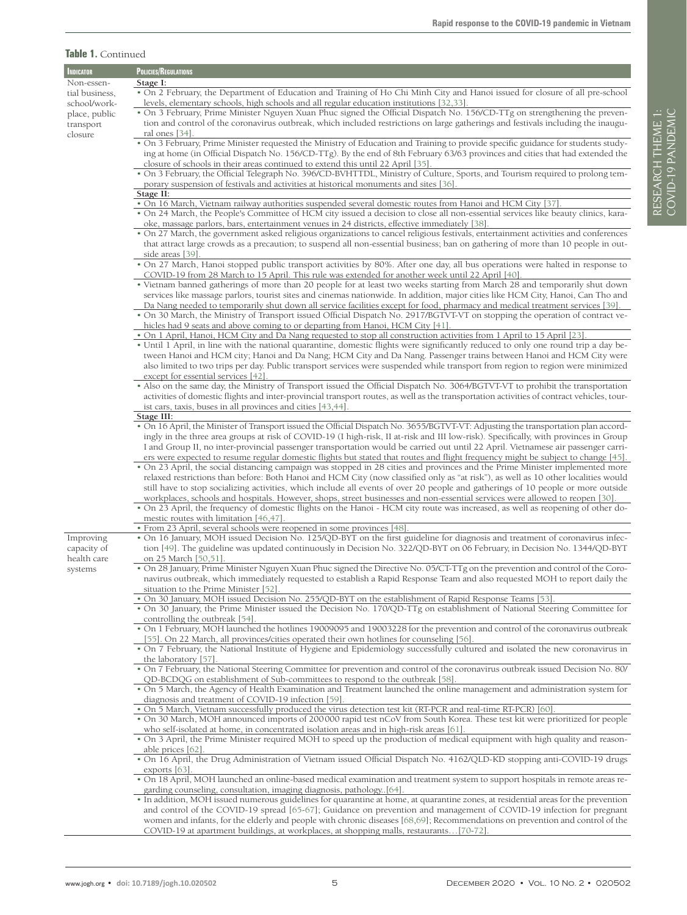#### **Table 1.** Continued

| INDICATOR      | POLICIES/REGULATIONS                                                                                                                                                                                                                                           |
|----------------|----------------------------------------------------------------------------------------------------------------------------------------------------------------------------------------------------------------------------------------------------------------|
| Non-essen-     | Stage I:                                                                                                                                                                                                                                                       |
| tial business, | . On 2 February, the Department of Education and Training of Ho Chi Minh City and Hanoi issued for closure of all pre-school                                                                                                                                   |
| school/work-   | levels, elementary schools, high schools and all regular education institutions [32,33]                                                                                                                                                                        |
| place, public  | • On 3 February, Prime Minister Nguyen Xuan Phuc signed the Official Dispatch No. 156/CD-TTg on strengthening the preven-                                                                                                                                      |
| transport      | tion and control of the coronavirus outbreak, which included restrictions on large gatherings and festivals including the inaugu-                                                                                                                              |
| closure        | ral ones [34].                                                                                                                                                                                                                                                 |
|                | . On 3 February, Prime Minister requested the Ministry of Education and Training to provide specific guidance for students study-                                                                                                                              |
|                | ing at home (in Official Dispatch No. 156/CD-TTg). By the end of 8th February 63/63 provinces and cities that had extended the                                                                                                                                 |
|                | closure of schools in their areas continued to extend this until 22 April [35]<br>. On 3 February, the Official Telegraph No. 396/CD-BVHTTDL, Ministry of Culture, Sports, and Tourism required to prolong tem-                                                |
|                | porary suspension of festivals and activities at historical monuments and sites [36].                                                                                                                                                                          |
|                | Stage II:                                                                                                                                                                                                                                                      |
|                | . On 16 March, Vietnam railway authorities suspended several domestic routes from Hanoi and HCM City [37]                                                                                                                                                      |
|                | • On 24 March, the People's Committee of HCM city issued a decision to close all non-essential services like beauty clinics, kara-                                                                                                                             |
|                | oke, massage parlors, bars, entertainment venues in 24 districts, effective immediately [38].                                                                                                                                                                  |
|                | • On 27 March, the government asked religious organizations to cancel religious festivals, entertainment activities and conferences                                                                                                                            |
|                | that attract large crowds as a precaution; to suspend all non-essential business; ban on gathering of more than 10 people in out-                                                                                                                              |
|                | side areas [39]                                                                                                                                                                                                                                                |
|                | • On 27 March, Hanoi stopped public transport activities by 80%. After one day, all bus operations were halted in response to                                                                                                                                  |
|                | COVID-19 from 28 March to 15 April. This rule was extended for another week until 22 April [40].                                                                                                                                                               |
|                | • Vietnam banned gatherings of more than 20 people for at least two weeks starting from March 28 and temporarily shut down<br>services like massage parlors, tourist sites and cinemas nationwide. In addition, major cities like HCM City, Hanoi, Can Tho and |
|                | Da Nang needed to temporarily shut down all service facilities except for food, pharmacy and medical treatment services [39].                                                                                                                                  |
|                | • On 30 March, the Ministry of Transport issued Official Dispatch No. 2917/BGTVT-VT on stopping the operation of contract ve-                                                                                                                                  |
|                | hicles had 9 seats and above coming to or departing from Hanoi, HCM City [41].                                                                                                                                                                                 |
|                | • On 1 April, Hanoi, HCM City and Da Nang requested to stop all construction activities from 1 April to 15 April [23]                                                                                                                                          |
|                | • Until 1 April, in line with the national quarantine, domestic flights were significantly reduced to only one round trip a day be-                                                                                                                            |
|                | tween Hanoi and HCM city; Hanoi and Da Nang; HCM City and Da Nang. Passenger trains between Hanoi and HCM City were                                                                                                                                            |
|                | also limited to two trips per day. Public transport services were suspended while transport from region to region were minimized                                                                                                                               |
|                | except for essential services [42]                                                                                                                                                                                                                             |
|                | • Also on the same day, the Ministry of Transport issued the Official Dispatch No. 3064/BGTVT-VT to prohibit the transportation                                                                                                                                |
|                | activities of domestic flights and inter-provincial transport routes, as well as the transportation activities of contract vehicles, tour-                                                                                                                     |
|                | ist cars, taxis, buses in all provinces and cities [43,44]                                                                                                                                                                                                     |
|                | Stage III:<br>• On 16 April, the Minister of Transport issued the Official Dispatch No. 3655/BGTVT-VT: Adjusting the transportation plan accord-                                                                                                               |
|                | ingly in the three area groups at risk of COVID-19 (I high-risk, II at-risk and III low-risk). Specifically, with provinces in Group                                                                                                                           |
|                | I and Group II, no inter-provincial passenger transportation would be carried out until 22 April. Vietnamese air passenger carri-                                                                                                                              |
|                | ers were expected to resume regular domestic flights but stated that routes and flight frequency might be subject to change [45].                                                                                                                              |
|                | . On 23 April, the social distancing campaign was stopped in 28 cities and provinces and the Prime Minister implemented more                                                                                                                                   |
|                | relaxed restrictions than before: Both Hanoi and HCM City (now classified only as "at risk"), as well as 10 other localities would                                                                                                                             |
|                | still have to stop socializing activities, which include all events of over 20 people and gatherings of 10 people or more outside                                                                                                                              |
|                | workplaces, schools and hospitals. However, shops, street businesses and non-essential services were allowed to reopen [30].                                                                                                                                   |
|                | • On 23 April, the frequency of domestic flights on the Hanoi - HCM city route was increased, as well as reopening of other do-                                                                                                                                |
|                | mestic routes with limitation [46,47]                                                                                                                                                                                                                          |
|                | • From 23 April, several schools were reopened in some provinces [48]                                                                                                                                                                                          |
| Improving      | . On 16 January, MOH issued Decision No. 125/QD-BYT on the first guideline for diagnosis and treatment of coronavirus infec-                                                                                                                                   |
| capacity of    | tion [49]. The guideline was updated continuously in Decision No. 322/QD-BYT on 06 February, in Decision No. 1344/QD-BYT                                                                                                                                       |
| health care    | on 25 March [50,51]<br>. On 28 January, Prime Minister Nguyen Xuan Phuc signed the Directive No. 05/CT-TTg on the prevention and control of the Coro-                                                                                                          |
| systems        | navirus outbreak, which immediately requested to establish a Rapid Response Team and also requested MOH to report daily the                                                                                                                                    |
|                | situation to the Prime Minister [52].                                                                                                                                                                                                                          |
|                | • On 30 January, MOH issued Decision No. 255/QD-BYT on the establishment of Rapid Response Teams [53]                                                                                                                                                          |
|                | . On 30 January, the Prime Minister issued the Decision No. 170/QD-TTg on establishment of National Steering Committee for                                                                                                                                     |
|                | controlling the outbreak [54].                                                                                                                                                                                                                                 |
|                | • On 1 February, MOH launched the hotlines 19009095 and 19003228 for the prevention and control of the coronavirus outbreak                                                                                                                                    |
|                | [55]. On 22 March, all provinces/cities operated their own hotlines for counseling [56].                                                                                                                                                                       |
|                | . On 7 February, the National Institute of Hygiene and Epidemiology successfully cultured and isolated the new coronavirus in                                                                                                                                  |
|                | the laboratory [57].                                                                                                                                                                                                                                           |
|                | . On 7 February, the National Steering Committee for prevention and control of the coronavirus outbreak issued Decision No. 80/                                                                                                                                |
|                | QD-BCDQG on establishment of Sub-committees to respond to the outbreak [58].<br>. On 5 March, the Agency of Health Examination and Treatment launched the online management and administration system for                                                      |
|                | diagnosis and treatment of COVID-19 infection [59].                                                                                                                                                                                                            |
|                | . On 5 March, Vietnam successfully produced the virus detection test kit (RT-PCR and real-time RT-PCR) [60]                                                                                                                                                    |
|                | · On 30 March, MOH announced imports of 200000 rapid test nCoV from South Korea. These test kit were prioritized for people                                                                                                                                    |
|                | who self-isolated at home, in concentrated isolation areas and in high-risk areas [61].                                                                                                                                                                        |
|                | • On 3 April, the Prime Minister required MOH to speed up the production of medical equipment with high quality and reason-                                                                                                                                    |
|                | able prices [62]                                                                                                                                                                                                                                               |
|                | . On 16 April, the Drug Administration of Vietnam issued Official Dispatch No. 4162/QLD-KD stopping anti-COVID-19 drugs                                                                                                                                        |
|                | exports $[63]$ .                                                                                                                                                                                                                                               |
|                | • On 18 April, MOH launched an online-based medical examination and treatment system to support hospitals in remote areas re-                                                                                                                                  |
|                | garding counseling, consultation, imaging diagnosis, pathology. [64].                                                                                                                                                                                          |
|                | · In addition, MOH issued numerous guidelines for quarantine at home, at quarantine zones, at residential areas for the prevention                                                                                                                             |
|                | and control of the COVID-19 spread [65-67]; Guidance on prevention and management of COVID-19 infection for pregnant<br>women and infants, for the elderly and people with chronic diseases [68,69]; Recommendations on prevention and control of the          |
|                | COVID-19 at apartment buildings, at workplaces, at shopping malls, restaurants[70-72]                                                                                                                                                                          |
|                |                                                                                                                                                                                                                                                                |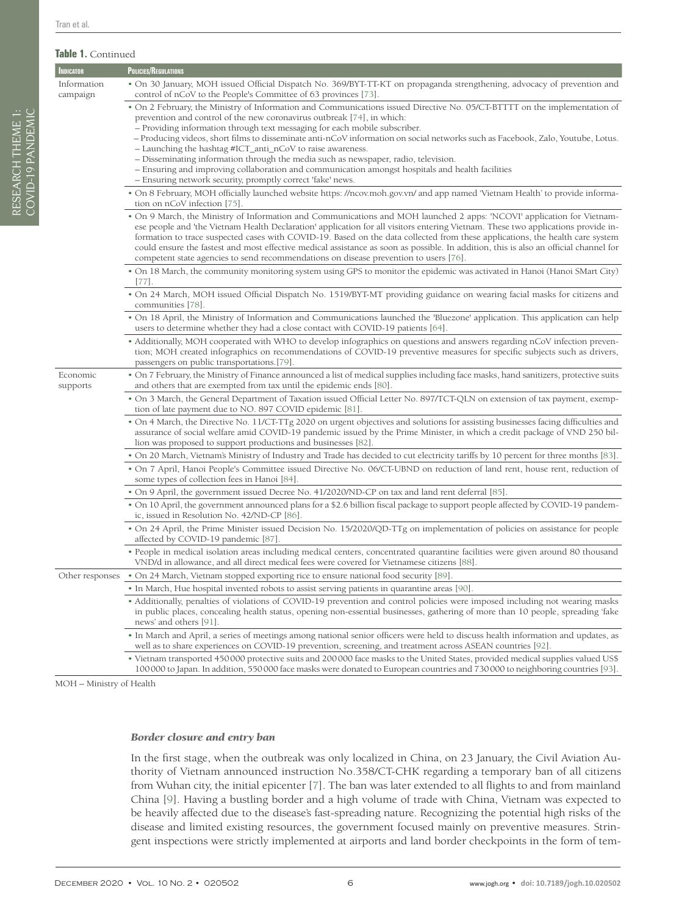#### **Table 1.** Continued

| <b>INDICATOR</b>        | POLICIES/REGULATIONS                                                                                                                                                                                                                                                                                                                                                                                                                                                                                                                                                                                                                                                                                                                           |
|-------------------------|------------------------------------------------------------------------------------------------------------------------------------------------------------------------------------------------------------------------------------------------------------------------------------------------------------------------------------------------------------------------------------------------------------------------------------------------------------------------------------------------------------------------------------------------------------------------------------------------------------------------------------------------------------------------------------------------------------------------------------------------|
| Information<br>campaign | • On 30 January, MOH issued Official Dispatch No. 369/BYT-TT-KT on propaganda strengthening, advocacy of prevention and<br>control of nCoV to the People's Committee of 63 provinces [73].                                                                                                                                                                                                                                                                                                                                                                                                                                                                                                                                                     |
|                         | • On 2 February, the Ministry of Information and Communications issued Directive No. 05/CT-BTTTT on the implementation of<br>prevention and control of the new coronavirus outbreak $[74]$ , in which:<br>- Providing information through text messaging for each mobile subscriber.<br>– Producing videos, short films to disseminate anti-nCoV information on social networks such as Facebook, Zalo, Youtube, Lotus.<br>- Launching the hashtag #ICT_anti_nCoV to raise awareness.<br>- Disseminating information through the media such as newspaper, radio, television.<br>- Ensuring and improving collaboration and communication amongst hospitals and health facilities<br>- Ensuring network security, promptly correct 'fake' news. |
|                         | . On 8 February, MOH officially launched website https: //ncov.moh.gov.vn/ and app named 'Vietnam Health' to provide informa-<br>tion on nCoV infection [75].                                                                                                                                                                                                                                                                                                                                                                                                                                                                                                                                                                                  |
|                         | • On 9 March, the Ministry of Information and Communications and MOH launched 2 apps: 'NCOVI' application for Vietnam-<br>ese people and 'the Vietnam Health Declaration' application for all visitors entering Vietnam. These two applications provide in-<br>formation to trace suspected cases with COVID-19. Based on the data collected from these applications, the health care system<br>could ensure the fastest and most effective medical assistance as soon as possible. In addition, this is also an official channel for<br>competent state agencies to send recommendations on disease prevention to users [76].                                                                                                                 |
|                         | • On 18 March, the community monitoring system using GPS to monitor the epidemic was activated in Hanoi (Hanoi SMart City)<br>[77].                                                                                                                                                                                                                                                                                                                                                                                                                                                                                                                                                                                                            |
|                         | • On 24 March, MOH issued Official Dispatch No. 1519/BYT-MT providing guidance on wearing facial masks for citizens and<br>communities [78].                                                                                                                                                                                                                                                                                                                                                                                                                                                                                                                                                                                                   |
|                         | . On 18 April, the Ministry of Information and Communications launched the 'Bluezone' application. This application can help<br>users to determine whether they had a close contact with COVID-19 patients [64].                                                                                                                                                                                                                                                                                                                                                                                                                                                                                                                               |
|                         | • Additionally, MOH cooperated with WHO to develop infographics on questions and answers regarding nCoV infection preven-<br>tion; MOH created infographics on recommendations of COVID-19 preventive measures for specific subjects such as drivers,<br>passengers on public transportations.[79].                                                                                                                                                                                                                                                                                                                                                                                                                                            |
| Economic<br>supports    | . On 7 February, the Ministry of Finance announced a list of medical supplies including face masks, hand sanitizers, protective suits<br>and others that are exempted from tax until the epidemic ends [80].                                                                                                                                                                                                                                                                                                                                                                                                                                                                                                                                   |
|                         | • On 3 March, the General Department of Taxation issued Official Letter No. 897/TCT-QLN on extension of tax payment, exemp-<br>tion of late payment due to NO. 897 COVID epidemic [81].                                                                                                                                                                                                                                                                                                                                                                                                                                                                                                                                                        |
|                         | • On 4 March, the Directive No. 11/CT-TTg 2020 on urgent objectives and solutions for assisting businesses facing difficulties and<br>assurance of social welfare amid COVID-19 pandemic issued by the Prime Minister, in which a credit package of VND 250 bil-<br>lion was proposed to support productions and businesses [82].                                                                                                                                                                                                                                                                                                                                                                                                              |
|                         | • On 20 March, Vietnam's Ministry of Industry and Trade has decided to cut electricity tariffs by 10 percent for three months [83].                                                                                                                                                                                                                                                                                                                                                                                                                                                                                                                                                                                                            |
|                         | • On 7 April, Hanoi People's Committee issued Directive No. 06/CT-UBND on reduction of land rent, house rent, reduction of<br>some types of collection fees in Hanoi [84].                                                                                                                                                                                                                                                                                                                                                                                                                                                                                                                                                                     |
|                         | • On 9 April, the government issued Decree No. 41/2020/ND-CP on tax and land rent deferral [85].                                                                                                                                                                                                                                                                                                                                                                                                                                                                                                                                                                                                                                               |
|                         | . On 10 April, the government announced plans for a \$2.6 billion fiscal package to support people affected by COVID-19 pandem-<br>ic, issued in Resolution No. 42/ND-CP [86].                                                                                                                                                                                                                                                                                                                                                                                                                                                                                                                                                                 |
|                         | • On 24 April, the Prime Minister issued Decision No. 15/2020/QD-TTg on implementation of policies on assistance for people<br>affected by COVID-19 pandemic [87].                                                                                                                                                                                                                                                                                                                                                                                                                                                                                                                                                                             |
|                         | • People in medical isolation areas including medical centers, concentrated quarantine facilities were given around 80 thousand<br>VND/d in allowance, and all direct medical fees were covered for Vietnamese citizens [88].                                                                                                                                                                                                                                                                                                                                                                                                                                                                                                                  |
|                         | Other responses • On 24 March, Vietnam stopped exporting rice to ensure national food security [89].                                                                                                                                                                                                                                                                                                                                                                                                                                                                                                                                                                                                                                           |

• In March, Hue hospital invented robots to assist serving patients in quarantine areas [\[90](#page-12-26)].

• Additionally, penalties of violations of COVID-19 prevention and control policies were imposed including not wearing masks in public places, concealing health status, opening non-essential businesses, gathering of more than 10 people, spreading 'fake news' and others [[91\]](#page-12-27).

• In March and April, a series of meetings among national senior officers were held to discuss health information and updates, as well as to share experiences on COVID-19 prevention, screening, and treatment across ASEAN countries [\[92](#page-12-28)].

• Vietnam transported 450000 protective suits and 200000 face masks to the United States, provided medical supplies valued US\$ 100000 to Japan. In addition, 550000 face masks were donated to European countries and 730000 to neighboring countries [\[93](#page-13-0)].

MOH – Ministry of Health

#### *Border closure and entry ban*

In the first stage, when the outbreak was only localized in China, on 23 January, the Civil Aviation Authority of Vietnam announced instruction No.358/CT-CHK regarding a temporary ban of all citizens from Wuhan city, the initial epicenter [\[7](#page-10-6)]. The ban was later extended to all flights to and from mainland China [[9](#page-10-8)]. Having a bustling border and a high volume of trade with China, Vietnam was expected to be heavily affected due to the disease's fast-spreading nature. Recognizing the potential high risks of the disease and limited existing resources, the government focused mainly on preventive measures. Stringent inspections were strictly implemented at airports and land border checkpoints in the form of tem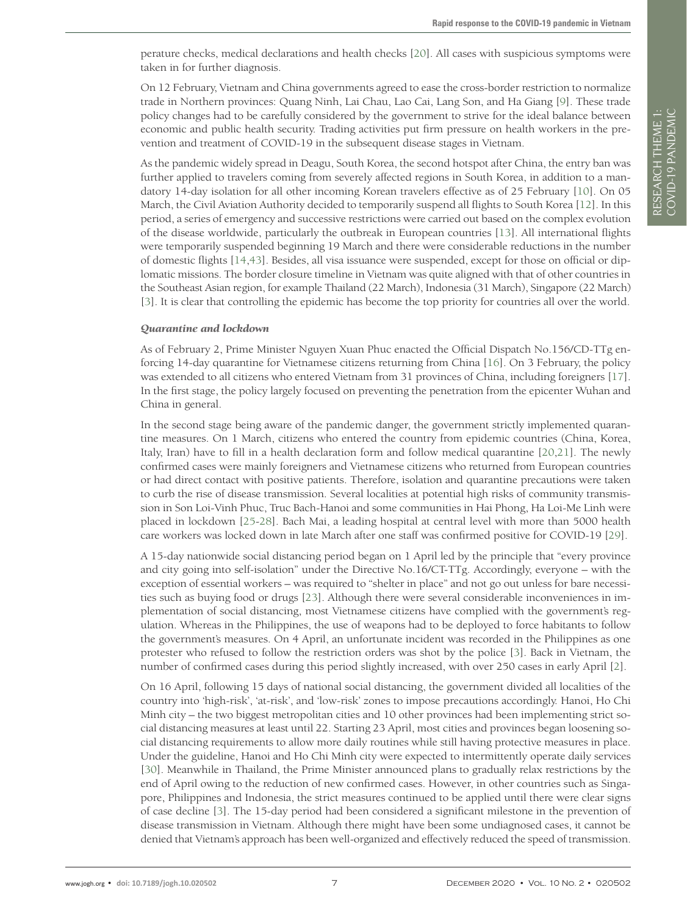perature checks, medical declarations and health checks [[20](#page-10-19)]. All cases with suspicious symptoms were taken in for further diagnosis.

On 12 February, Vietnam and China governments agreed to ease the cross-border restriction to normalize trade in Northern provinces: Quang Ninh, Lai Chau, Lao Cai, Lang Son, and Ha Giang [[9\]](#page-10-8). These trade policy changes had to be carefully considered by the government to strive for the ideal balance between economic and public health security. Trading activities put firm pressure on health workers in the prevention and treatment of COVID-19 in the subsequent disease stages in Vietnam.

As the pandemic widely spread in Deagu, South Korea, the second hotspot after China, the entry ban was further applied to travelers coming from severely affected regions in South Korea, in addition to a mandatory 14-day isolation for all other incoming Korean travelers effective as of 25 February [\[10](#page-10-0)]. On 05 March, the Civil Aviation Authority decided to temporarily suspend all flights to South Korea [\[12](#page-10-11)]. In this period, a series of emergency and successive restrictions were carried out based on the complex evolution of the disease worldwide, particularly the outbreak in European countries [\[13](#page-10-12)]. All international flights were temporarily suspended beginning 19 March and there were considerable reductions in the number of domestic flights [\[14](#page-10-13),[43\]](#page-11-13). Besides, all visa issuance were suspended, except for those on official or diplomatic missions. The border closure timeline in Vietnam was quite aligned with that of other countries in the Southeast Asian region, for example Thailand (22 March), Indonesia (31 March), Singapore (22 March) [\[3](#page-10-2)]. It is clear that controlling the epidemic has become the top priority for countries all over the world.

#### *Quarantine and lockdown*

As of February 2, Prime Minister Nguyen Xuan Phuc enacted the Official Dispatch No.156/CD-TTg enforcing 14-day quarantine for Vietnamese citizens returning from China [\[16](#page-10-15)]. On 3 February, the policy was extended to all citizens who entered Vietnam from 31 provinces of China, including foreigners [\[17](#page-10-16)]. In the first stage, the policy largely focused on preventing the penetration from the epicenter Wuhan and China in general.

In the second stage being aware of the pandemic danger, the government strictly implemented quarantine measures. On 1 March, citizens who entered the country from epidemic countries (China, Korea, Italy, Iran) have to fill in a health declaration form and follow medical quarantine [\[20](#page-10-19),[21](#page-10-20)]. The newly confirmed cases were mainly foreigners and Vietnamese citizens who returned from European countries or had direct contact with positive patients. Therefore, isolation and quarantine precautions were taken to curb the rise of disease transmission. Several localities at potential high risks of community transmission in Son Loi-Vinh Phuc, Truc Bach-Hanoi and some communities in Hai Phong, Ha Loi-Me Linh were placed in lockdown [[25](#page-10-24)-[28\]](#page-10-26). Bach Mai, a leading hospital at central level with more than 5000 health care workers was locked down in late March after one staff was confirmed positive for COVID-19 [[29](#page-10-25)].

A 15-day nationwide social distancing period began on 1 April led by the principle that "every province and city going into self-isolation" under the Directive No.16/CT-TTg. Accordingly, everyone – with the exception of essential workers – was required to "shelter in place" and not go out unless for bare necessities such as buying food or drugs [[23](#page-10-22)]. Although there were several considerable inconveniences in implementation of social distancing, most Vietnamese citizens have complied with the government's regulation. Whereas in the Philippines, the use of weapons had to be deployed to force habitants to follow the government's measures. On 4 April, an unfortunate incident was recorded in the Philippines as one protester who refused to follow the restriction orders was shot by the police [\[3](#page-10-2)]. Back in Vietnam, the number of confirmed cases during this period slightly increased, with over 250 cases in early April [\[2](#page-10-1)].

On 16 April, following 15 days of national social distancing, the government divided all localities of the country into 'high-risk', 'at-risk', and 'low-risk' zones to impose precautions accordingly. Hanoi, Ho Chi Minh city – the two biggest metropolitan cities and 10 other provinces had been implementing strict social distancing measures at least until 22. Starting 23 April, most cities and provinces began loosening social distancing requirements to allow more daily routines while still having protective measures in place. Under the guideline, Hanoi and Ho Chi Minh city were expected to intermittently operate daily services [\[30](#page-11-0)]. Meanwhile in Thailand, the Prime Minister announced plans to gradually relax restrictions by the end of April owing to the reduction of new confirmed cases. However, in other countries such as Singapore, Philippines and Indonesia, the strict measures continued to be applied until there were clear signs of case decline [\[3](#page-10-2)]. The 15-day period had been considered a significant milestone in the prevention of disease transmission in Vietnam. Although there might have been some undiagnosed cases, it cannot be denied that Vietnam's approach has been well-organized and effectively reduced the speed of transmission.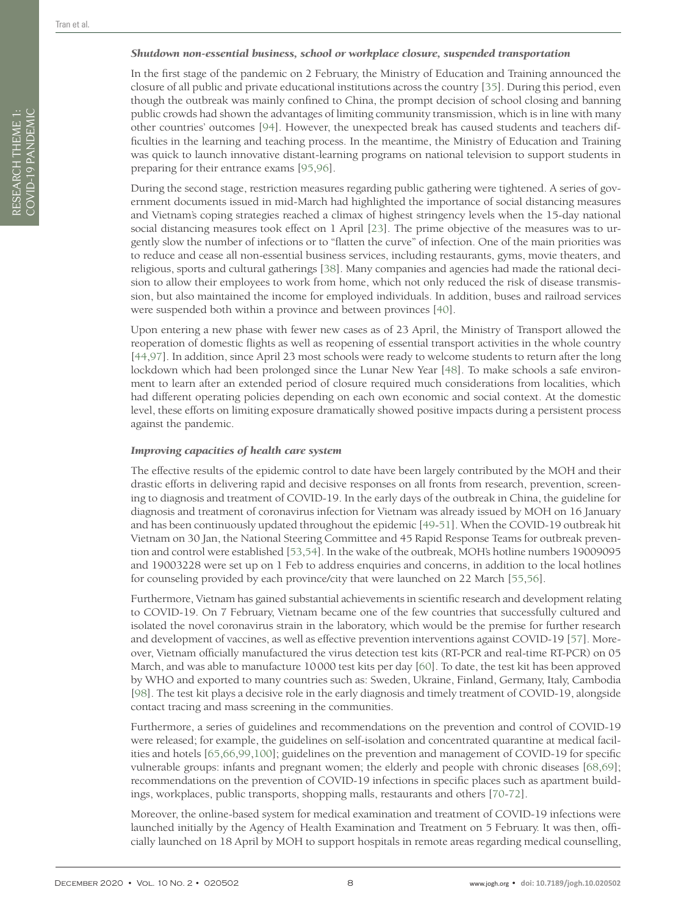#### *Shutdown non-essential business, school or workplace closure, suspended transportation*

In the first stage of the pandemic on 2 February, the Ministry of Education and Training announced the closure of all public and private educational institutions across the country [[35](#page-11-5)]. During this period, even though the outbreak was mainly confined to China, the prompt decision of school closing and banning public crowds had shown the advantages of limiting community transmission, which is in line with many other countries' outcomes [[94](#page-13-1)]. However, the unexpected break has caused students and teachers difficulties in the learning and teaching process. In the meantime, the Ministry of Education and Training was quick to launch innovative distant-learning programs on national television to support students in preparing for their entrance exams [[95,](#page-13-2)[96](#page-13-3)].

During the second stage, restriction measures regarding public gathering were tightened. A series of government documents issued in mid-March had highlighted the importance of social distancing measures and Vietnam's coping strategies reached a climax of highest stringency levels when the 15-day national social distancing measures took effect on 1 April [[23](#page-10-22)]. The prime objective of the measures was to urgently slow the number of infections or to "flatten the curve" of infection. One of the main priorities was to reduce and cease all non-essential business services, including restaurants, gyms, movie theaters, and religious, sports and cultural gatherings [[38](#page-11-8)]. Many companies and agencies had made the rational decision to allow their employees to work from home, which not only reduced the risk of disease transmission, but also maintained the income for employed individuals. In addition, buses and railroad services were suspended both within a province and between provinces [[40](#page-11-10)].

Upon entering a new phase with fewer new cases as of 23 April, the Ministry of Transport allowed the reoperation of domestic flights as well as reopening of essential transport activities in the whole country [[44](#page-11-14),[97\]](#page-13-4). In addition, since April 23 most schools were ready to welcome students to return after the long lockdown which had been prolonged since the Lunar New Year [[48](#page-11-18)]. To make schools a safe environment to learn after an extended period of closure required much considerations from localities, which had different operating policies depending on each own economic and social context. At the domestic level, these efforts on limiting exposure dramatically showed positive impacts during a persistent process against the pandemic.

#### *Improving capacities of health care system*

The effective results of the epidemic control to date have been largely contributed by the MOH and their drastic efforts in delivering rapid and decisive responses on all fronts from research, prevention, screening to diagnosis and treatment of COVID-19. In the early days of the outbreak in China, the guideline for diagnosis and treatment of coronavirus infection for Vietnam was already issued by MOH on 16 January and has been continuously updated throughout the epidemic [\[49](#page-11-19)-[51](#page-11-21)]. When the COVID-19 outbreak hit Vietnam on 30 Jan, the National Steering Committee and 45 Rapid Response Teams for outbreak prevention and control were established [\[53](#page-11-23),[54](#page-11-24)]. In the wake of the outbreak, MOH's hotline numbers 19009095 and 19003228 were set up on 1 Feb to address enquiries and concerns, in addition to the local hotlines for counseling provided by each province/city that were launched on 22 March [[55](#page-11-25),[56](#page-11-26)].

Furthermore, Vietnam has gained substantial achievements in scientific research and development relating to COVID-19. On 7 February, Vietnam became one of the few countries that successfully cultured and isolated the novel coronavirus strain in the laboratory, which would be the premise for further research and development of vaccines, as well as effective prevention interventions against COVID-19 [[57](#page-11-27)]. Moreover, Vietnam officially manufactured the virus detection test kits (RT-PCR and real-time RT-PCR) on 05 March, and was able to manufacture 10000 test kits per day [\[60](#page-11-30)]. To date, the test kit has been approved by WHO and exported to many countries such as: Sweden, Ukraine, Finland, Germany, Italy, Cambodia [[98](#page-13-5)]. The test kit plays a decisive role in the early diagnosis and timely treatment of COVID-19, alongside contact tracing and mass screening in the communities.

Furthermore, a series of guidelines and recommendations on the prevention and control of COVID-19 were released; for example, the guidelines on self-isolation and concentrated quarantine at medical facilities and hotels [\[65](#page-12-3),[66](#page-12-29),[99](#page-13-6),[100](#page-13-7)]; guidelines on the prevention and management of COVID-19 for specific vulnerable groups: infants and pregnant women; the elderly and people with chronic diseases [\[68](#page-12-5),[69](#page-12-6)]; recommendations on the prevention of COVID-19 infections in specific places such as apartment buildings, workplaces, public transports, shopping malls, restaurants and others [\[70](#page-12-7)-[72](#page-12-8)].

Moreover, the online-based system for medical examination and treatment of COVID-19 infections were launched initially by the Agency of Health Examination and Treatment on 5 February. It was then, officially launched on 18 April by MOH to support hospitals in remote areas regarding medical counselling,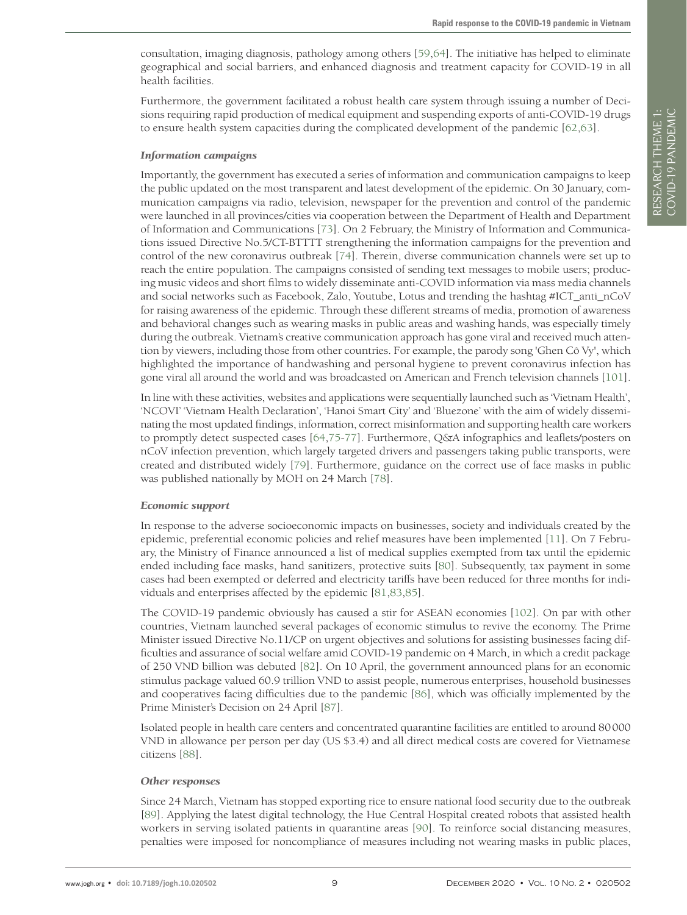consultation, imaging diagnosis, pathology among others [[59](#page-11-29),[64](#page-12-2)]. The initiative has helped to eliminate geographical and social barriers, and enhanced diagnosis and treatment capacity for COVID-19 in all health facilities.

Furthermore, the government facilitated a robust health care system through issuing a number of Decisions requiring rapid production of medical equipment and suspending exports of anti-COVID-19 drugs to ensure health system capacities during the complicated development of the pandemic [\[62](#page-12-0),[63](#page-12-1)].

#### *Information campaigns*

Importantly, the government has executed a series of information and communication campaigns to keep the public updated on the most transparent and latest development of the epidemic. On 30 January, communication campaigns via radio, television, newspaper for the prevention and control of the pandemic were launched in all provinces/cities via cooperation between the Department of Health and Department of Information and Communications [\[73\]](#page-12-9). On 2 February, the Ministry of Information and Communications issued Directive No.5/CT-BTTTT strengthening the information campaigns for the prevention and control of the new coronavirus outbreak [\[74](#page-12-10)]. Therein, diverse communication channels were set up to reach the entire population. The campaigns consisted of sending text messages to mobile users; producing music videos and short films to widely disseminate anti-COVID information via mass media channels and social networks such as Facebook, Zalo, Youtube, Lotus and trending the hashtag #ICT\_anti\_nCoV for raising awareness of the epidemic. Through these different streams of media, promotion of awareness and behavioral changes such as wearing masks in public areas and washing hands, was especially timely during the outbreak. Vietnam's creative communication approach has gone viral and received much attention by viewers, including those from other countries. For example, the parody song 'Ghen Cô Vy', which highlighted the importance of handwashing and personal hygiene to prevent coronavirus infection has gone viral all around the world and was broadcasted on American and French television channels [\[101](#page-13-8)].

In line with these activities, websites and applications were sequentially launched such as 'Vietnam Health', 'NCOVI' 'Vietnam Health Declaration', 'Hanoi Smart City' and 'Bluezone' with the aim of widely disseminating the most updated findings, information, correct misinformation and supporting health care workers to promptly detect suspected cases [[64](#page-12-2),[75](#page-12-11)-[77\]](#page-12-13). Furthermore, Q&A infographics and leaflets/posters on nCoV infection prevention, which largely targeted drivers and passengers taking public transports, were created and distributed widely [[79](#page-12-15)]. Furthermore, guidance on the correct use of face masks in public was published nationally by MOH on 24 March [\[78](#page-12-14)].

#### *Economic support*

In response to the adverse socioeconomic impacts on businesses, society and individuals created by the epidemic, preferential economic policies and relief measures have been implemented [[11](#page-10-10)]. On 7 February, the Ministry of Finance announced a list of medical supplies exempted from tax until the epidemic ended including face masks, hand sanitizers, protective suits [\[80](#page-12-16)]. Subsequently, tax payment in some cases had been exempted or deferred and electricity tariffs have been reduced for three months for individuals and enterprises affected by the epidemic [[81,](#page-12-17)[83](#page-12-19)[,85](#page-12-21)].

The COVID-19 pandemic obviously has caused a stir for ASEAN economies [[102](#page-13-9)]. On par with other countries, Vietnam launched several packages of economic stimulus to revive the economy. The Prime Minister issued Directive No.11/CP on urgent objectives and solutions for assisting businesses facing difficulties and assurance of social welfare amid COVID-19 pandemic on 4 March, in which a credit package of 250 VND billion was debuted [\[82\]](#page-12-18). On 10 April, the government announced plans for an economic stimulus package valued 60.9 trillion VND to assist people, numerous enterprises, household businesses and cooperatives facing difficulties due to the pandemic [[86](#page-12-22)], which was officially implemented by the Prime Minister's Decision on 24 April [\[87](#page-12-23)].

Isolated people in health care centers and concentrated quarantine facilities are entitled to around 80000 VND in allowance per person per day (US \$3.4) and all direct medical costs are covered for Vietnamese citizens [[88](#page-12-24)].

#### *Other responses*

Since 24 March, Vietnam has stopped exporting rice to ensure national food security due to the outbreak [[89\]](#page-12-25). Applying the latest digital technology, the Hue Central Hospital created robots that assisted health workers in serving isolated patients in quarantine areas [[90](#page-12-26)]. To reinforce social distancing measures, penalties were imposed for noncompliance of measures including not wearing masks in public places,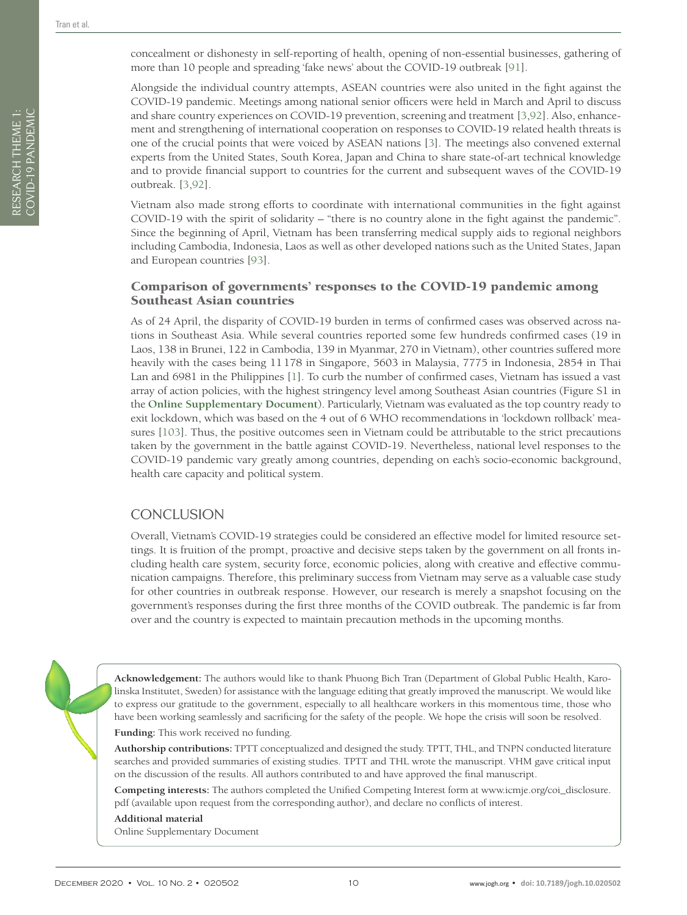Alongside the individual country attempts, ASEAN countries were also united in the fight against the COVID-19 pandemic. Meetings among national senior officers were held in March and April to discuss and share country experiences on COVID-19 prevention, screening and treatment [[3](#page-10-2),[92](#page-12-28)]. Also, enhancement and strengthening of international cooperation on responses to COVID-19 related health threats is one of the crucial points that were voiced by ASEAN nations [\[3](#page-10-2)]. The meetings also convened external experts from the United States, South Korea, Japan and China to share state-of-art technical knowledge and to provide financial support to countries for the current and subsequent waves of the COVID-19 outbreak. [[3](#page-10-2),[92](#page-12-28)].

Vietnam also made strong efforts to coordinate with international communities in the fight against COVID-19 with the spirit of solidarity – "there is no country alone in the fight against the pandemic". Since the beginning of April, Vietnam has been transferring medical supply aids to regional neighbors including Cambodia, Indonesia, Laos as well as other developed nations such as the United States, Japan and European countries [[93](#page-13-0)].

## Comparison of governments' responses to the COVID-19 pandemic among Southeast Asian countries

As of 24 April, the disparity of COVID-19 burden in terms of confirmed cases was observed across nations in Southeast Asia. While several countries reported some few hundreds confirmed cases (19 in Laos, 138 in Brunei, 122 in Cambodia, 139 in Myanmar, 270 in Vietnam), other countries suffered more heavily with the cases being 11178 in Singapore, 5603 in Malaysia, 7775 in Indonesia, 2854 in Thai Lan and 6981 in the Philippines [[1](#page-10-0)]. To curb the number of confirmed cases, Vietnam has issued a vast array of action policies, with the highest stringency level among Southeast Asian countries (Figure S1 in the **[Online Supplementary Document](#page-9-0)**). Particularly, Vietnam was evaluated as the top country ready to exit lockdown, which was based on the 4 out of 6 WHO recommendations in 'lockdown rollback' measures [\[103](#page-13-10)]. Thus, the positive outcomes seen in Vietnam could be attributable to the strict precautions taken by the government in the battle against COVID-19. Nevertheless, national level responses to the COVID-19 pandemic vary greatly among countries, depending on each's socio-economic background, health care capacity and political system.

# **CONCLUSION**

Overall, Vietnam's COVID-19 strategies could be considered an effective model for limited resource settings. It is fruition of the prompt, proactive and decisive steps taken by the government on all fronts including health care system, security force, economic policies, along with creative and effective communication campaigns. Therefore, this preliminary success from Vietnam may serve as a valuable case study for other countries in outbreak response. However, our research is merely a snapshot focusing on the government's responses during the first three months of the COVID outbreak. The pandemic is far from over and the country is expected to maintain precaution methods in the upcoming months.

**Acknowledgement:** The authors would like to thank Phuong Bich Tran (Department of Global Public Health, Karolinska Institutet, Sweden) for assistance with the language editing that greatly improved the manuscript. We would like to express our gratitude to the government, especially to all healthcare workers in this momentous time, those who have been working seamlessly and sacrificing for the safety of the people. We hope the crisis will soon be resolved.

**Funding:** This work received no funding.

**Authorship contributions:** TPTT conceptualized and designed the study. TPTT, THL, and TNPN conducted literature searches and provided summaries of existing studies. TPTT and THL wrote the manuscript. VHM gave critical input on the discussion of the results. All authors contributed to and have approved the final manuscript.

**Competing interests:** The authors completed the Unified Competing Interest form at www.icmje.org/coi\_disclosure. pdf (available upon request from the corresponding author), and declare no conflicts of interest.

#### <span id="page-9-0"></span>**Additional material**

[Online Supplementary Document](http://jogh.org/documents/issue202001/jogh-10-010402-s001.pdf)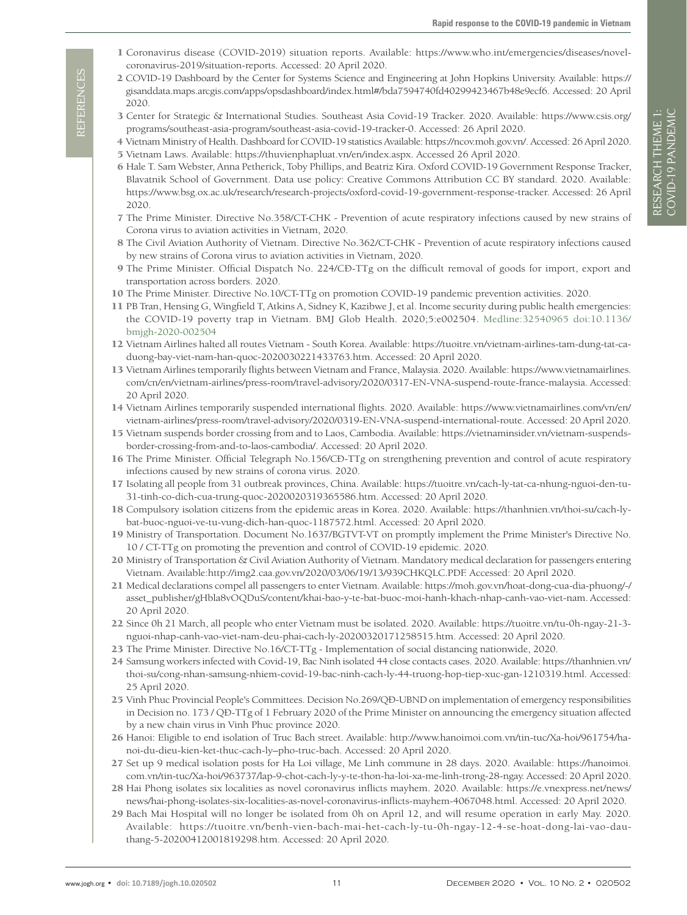- <span id="page-10-0"></span> 1 Coronavirus disease (COVID-2019) situation reports. Available: https://www.who.int/emergencies/diseases/novelcoronavirus-2019/situation-reports. Accessed: 20 April 2020.
- <span id="page-10-1"></span> 2 COVID-19 Dashboard by the Center for Systems Science and Engineering at John Hopkins University. Available: https:// gisanddata.maps.arcgis.com/apps/opsdashboard/index.html#/bda7594740fd40299423467b48e9ecf6. Accessed: 20 April 2020.
- <span id="page-10-2"></span> 3 Center for Strategic & International Studies. Southeast Asia Covid-19 Tracker. 2020. Available: https://www.csis.org/ programs/southeast-asia-program/southeast-asia-covid-19-tracker-0. Accessed: 26 April 2020.
- <span id="page-10-3"></span> 4 Vietnam Ministry of Health. Dashboard for COVID-19 statistics Available: https://ncov.moh.gov.vn/. Accessed: 26 April 2020. 5 Vietnam Laws. Available: https://thuvienphapluat.vn/en/index.aspx. Accessed 26 April 2020.
- <span id="page-10-5"></span><span id="page-10-4"></span> 6 Hale T. Sam Webster, Anna Petherick, Toby Phillips, and Beatriz Kira. Oxford COVID-19 Government Response Tracker, Blavatnik School of Government. Data use policy: Creative Commons Attribution CC BY standard. 2020. Available: https://www.bsg.ox.ac.uk/research/research-projects/oxford-covid-19-government-response-tracker. Accessed: 26 April 2020.
- <span id="page-10-6"></span> 7 The Prime Minister. Directive No.358/CT-CHK - Prevention of acute respiratory infections caused by new strains of Corona virus to aviation activities in Vietnam, 2020.
- <span id="page-10-7"></span> 8 The Civil Aviation Authority of Vietnam. Directive No.362/CT-CHK - Prevention of acute respiratory infections caused by new strains of Corona virus to aviation activities in Vietnam, 2020.
- <span id="page-10-8"></span> 9 The Prime Minister. Official Dispatch No. 224/CÐ-TTg on the difficult removal of goods for import, export and transportation across borders. 2020.
- <span id="page-10-9"></span>10 The Prime Minister. Directive No.10/CT-TTg on promotion COVID-19 pandemic prevention activities. 2020.
- <span id="page-10-10"></span>11 PB Tran, Hensing G, Wingfield T, Atkins A, Sidney K, Kazibwe J, et al. Income security during public health emergencies: the COVID-19 poverty trap in Vietnam. BMJ Glob Health. 2020;5:e002504[. Medline:32540965](https://www.ncbi.nlm.nih.gov/entrez/query.fcgi?cmd=Retrieve&db=PubMed&list_uids=32540965&dopt=Abstract) [doi:10.1136/](https://doi.org/10.1136/bmjgh-2020-002504) [bmjgh-2020-002504](https://doi.org/10.1136/bmjgh-2020-002504)
- <span id="page-10-11"></span>12 Vietnam Airlines halted all routes Vietnam - South Korea. Available: https://tuoitre.vn/vietnam-airlines-tam-dung-tat-caduong-bay-viet-nam-han-quoc-2020030221433763.htm. Accessed: 20 April 2020.
- <span id="page-10-12"></span>13 Vietnam Airlines temporarily flights between Vietnam and France, Malaysia. 2020. Available: https://www.vietnamairlines. com/cn/en/vietnam-airlines/press-room/travel-advisory/2020/0317-EN-VNA-suspend-route-france-malaysia. Accessed: 20 April 2020.
- <span id="page-10-13"></span>14 Vietnam Airlines temporarily suspended international flights. 2020. Available: https://www.vietnamairlines.com/vn/en/ vietnam-airlines/press-room/travel-advisory/2020/0319-EN-VNA-suspend-international-route. Accessed: 20 April 2020.
- <span id="page-10-14"></span>15 Vietnam suspends border crossing from and to Laos, Cambodia. Available: https://vietnaminsider.vn/vietnam-suspendsborder-crossing-from-and-to-laos-cambodia/. Accessed: 20 April 2020.
- <span id="page-10-15"></span>16 The Prime Minister. Official Telegraph No.156/CÐ-TTg on strengthening prevention and control of acute respiratory infections caused by new strains of corona virus. 2020.
- <span id="page-10-16"></span>17 Isolating all people from 31 outbreak provinces, China. Available: https://tuoitre.vn/cach-ly-tat-ca-nhung-nguoi-den-tu-31-tinh-co-dich-cua-trung-quoc-2020020319365586.htm. Accessed: 20 April 2020.
- <span id="page-10-17"></span>18 Compulsory isolation citizens from the epidemic areas in Korea. 2020. Available: https://thanhnien.vn/thoi-su/cach-lybat-buoc-nguoi-ve-tu-vung-dich-han-quoc-1187572.html. Accessed: 20 April 2020.
- <span id="page-10-18"></span>19 Ministry of Transportation. Document No.1637/BGTVT-VT on promptly implement the Prime Minister's Directive No. 10 / CT-TTg on promoting the prevention and control of COVID-19 epidemic. 2020.
- <span id="page-10-19"></span>20 Ministry of Transportation & Civil Aviation Authority of Vietnam. Mandatory medical declaration for passengers entering Vietnam. Available:http://img2.caa.gov.vn/2020/03/06/19/13/939CHKQLC.PDF. Accessed: 20 April 2020.
- <span id="page-10-20"></span>21 Medical declarations compel all passengers to enter Vietnam. Available: https://moh.gov.vn/hoat-dong-cua-dia-phuong/-/ asset\_publisher/gHbla8vOQDuS/content/khai-bao-y-te-bat-buoc-moi-hanh-khach-nhap-canh-vao-viet-nam. Accessed: 20 April 2020.
- <span id="page-10-21"></span>22 Since 0h 21 March, all people who enter Vietnam must be isolated. 2020. Available: https://tuoitre.vn/tu-0h-ngay-21-3 nguoi-nhap-canh-vao-viet-nam-deu-phai-cach-ly-20200320171258515.htm. Accessed: 20 April 2020.
- <span id="page-10-22"></span>23 The Prime Minister. Directive No.16/CT-TTg - Implementation of social distancing nationwide, 2020.
- <span id="page-10-23"></span>24 Samsung workers infected with Covid-19, Bac Ninh isolated 44 close contacts cases. 2020. Available: https://thanhnien.vn/ thoi-su/cong-nhan-samsung-nhiem-covid-19-bac-ninh-cach-ly-44-truong-hop-tiep-xuc-gan-1210319.html. Accessed: 25 April 2020.
- <span id="page-10-24"></span>25 Vinh Phuc Provincial People's Committees. Decision No.269/QÐ-UBND on implementation of emergency responsibilities in Decision no. 173 / QÐ-TTg of 1 February 2020 of the Prime Minister on announcing the emergency situation affected by a new chain virus in Vinh Phuc province 2020.
- 26 Hanoi: Eligible to end isolation of Truc Bach street. Available: http://www.hanoimoi.com.vn/tin-tuc/Xa-hoi/961754/hanoi-du-dieu-kien-ket-thuc-cach-ly–pho-truc-bach. Accessed: 20 April 2020.
- 27 Set up 9 medical isolation posts for Ha Loi village, Me Linh commune in 28 days. 2020. Available: https://hanoimoi. com.vn/tin-tuc/Xa-hoi/963737/lap-9-chot-cach-ly-y-te-thon-ha-loi-xa-me-linh-trong-28-ngay. Accessed: 20 April 2020.
- <span id="page-10-26"></span>28 Hai Phong isolates six localities as novel coronavirus inflicts mayhem. 2020. Available: https://e.vnexpress.net/news/ news/hai-phong-isolates-six-localities-as-novel-coronavirus-inflicts-mayhem-4067048.html. Accessed: 20 April 2020.
- <span id="page-10-25"></span>29 Bach Mai Hospital will no longer be isolated from 0h on April 12, and will resume operation in early May. 2020. Available: https://tuoitre.vn/benh-vien-bach-mai-het-cach-ly-tu-0h-ngay-12-4-se-hoat-dong-lai-vao-dauthang-5-20200412001819298.htm. Accessed: 20 April 2020.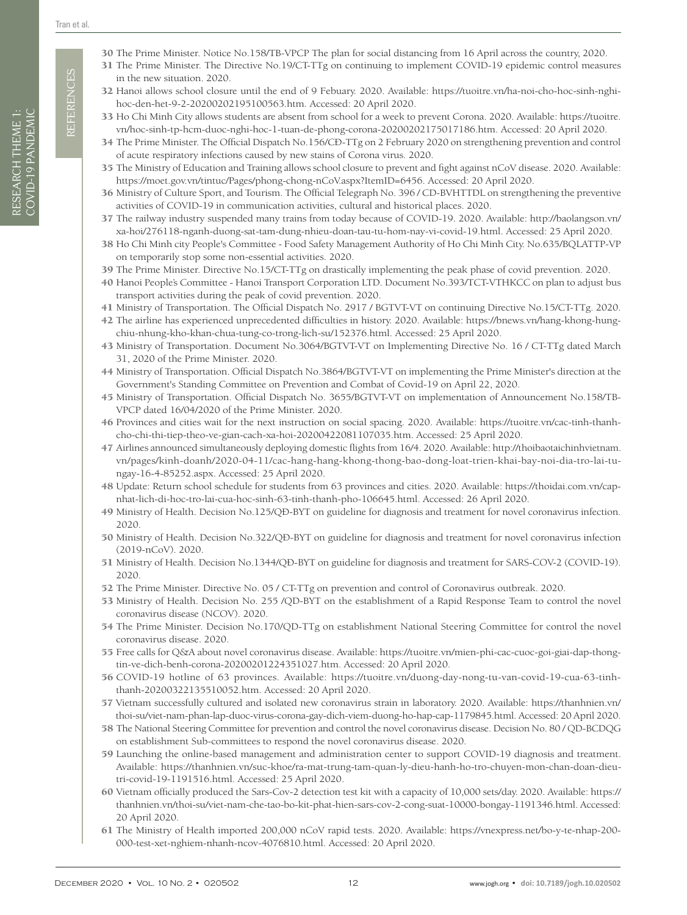**REFERENCES** REFERENCES

- <span id="page-11-1"></span><span id="page-11-0"></span>31 The Prime Minister. The Directive No.19/CT-TTg on continuing to implement COVID-19 epidemic control measures in the new situation. 2020.
- <span id="page-11-2"></span>32 Hanoi allows school closure until the end of 9 Febuary. 2020. Available: https://tuoitre.vn/ha-noi-cho-hoc-sinh-nghihoc-den-het-9-2-20200202195100563.htm. Accessed: 20 April 2020.
- <span id="page-11-3"></span>33 Ho Chi Minh City allows students are absent from school for a week to prevent Corona. 2020. Available: https://tuoitre. vn/hoc-sinh-tp-hcm-duoc-nghi-hoc-1-tuan-de-phong-corona-20200202175017186.htm. Accessed: 20 April 2020.
- <span id="page-11-4"></span>34 The Prime Minister. The Official Dispatch No.156/CÐ-TTg on 2 February 2020 on strengthening prevention and control of acute respiratory infections caused by new stains of Corona virus. 2020.
- <span id="page-11-5"></span>35 The Ministry of Education and Training allows school closure to prevent and fight against nCoV disease. 2020. Available: https://moet.gov.vn/tintuc/Pages/phong-chong-nCoV.aspx?ItemID=6456. Accessed: 20 April 2020.
- <span id="page-11-6"></span>36 Ministry of Culture Sport, and Tourism. The Official Telegraph No. 396 / CD-BVHTTDL on strengthening the preventive activities of COVID-19 in communication activities, cultural and historical places. 2020.
- <span id="page-11-7"></span>37 The railway industry suspended many trains from today because of COVID-19. 2020. Available: http://baolangson.vn/ xa-hoi/276118-nganh-duong-sat-tam-dung-nhieu-doan-tau-tu-hom-nay-vi-covid-19.html. Accessed: 25 April 2020.
- <span id="page-11-8"></span>38 Ho Chi Minh city People's Committee - Food Safety Management Authority of Ho Chi Minh City. No.635/BQLATTP-VP on temporarily stop some non-essential activities. 2020.
- <span id="page-11-9"></span>39 The Prime Minister. Directive No.15/CT-TTg on drastically implementing the peak phase of covid prevention. 2020.
- <span id="page-11-10"></span>40 Hanoi People's Committee - Hanoi Transport Corporation LTD. Document No.393/TCT-VTHKCC on plan to adjust bus transport activities during the peak of covid prevention. 2020.
- <span id="page-11-11"></span>41 Ministry of Transportation. The Official Dispatch No. 2917 / BGTVT-VT on continuing Directive No.15/CT-TTg. 2020.
- <span id="page-11-12"></span>42 The airline has experienced unprecedented difficulties in history. 2020. Available: https://bnews.vn/hang-khong-hungchiu-nhung-kho-khan-chua-tung-co-trong-lich-su/152376.html. Accessed: 25 April 2020.
- <span id="page-11-13"></span>43 Ministry of Transportation. Document No.3064/BGTVT-VT on Implementing Directive No. 16 / CT-TTg dated March 31, 2020 of the Prime Minister. 2020.
- <span id="page-11-14"></span>44 Ministry of Transportation. Official Dispatch No.3864/BGTVT-VT on implementing the Prime Minister's direction at the Government's Standing Committee on Prevention and Combat of Covid-19 on April 22, 2020.
- <span id="page-11-15"></span>45 Ministry of Transportation. Official Dispatch No. 3655/BGTVT-VT on implementation of Announcement No.158/TB-VPCP dated 16/04/2020 of the Prime Minister. 2020.
- <span id="page-11-16"></span>46 Provinces and cities wait for the next instruction on social spacing. 2020. Available: https://tuoitre.vn/cac-tinh-thanhcho-chi-thi-tiep-theo-ve-gian-cach-xa-hoi-20200422081107035.htm. Accessed: 25 April 2020.
- <span id="page-11-17"></span>47 Airlines announced simultaneously deploying domestic flights from 16/4. 2020. Available: http://thoibaotaichinhvietnam. vn/pages/kinh-doanh/2020-04-11/cac-hang-hang-khong-thong-bao-dong-loat-trien-khai-bay-noi-dia-tro-lai-tungay-16-4-85252.aspx. Accessed: 25 April 2020.
- <span id="page-11-18"></span>48 Update: Return school schedule for students from 63 provinces and cities. 2020. Available: https://thoidai.com.vn/capnhat-lich-di-hoc-tro-lai-cua-hoc-sinh-63-tinh-thanh-pho-106645.html. Accessed: 26 April 2020.
- <span id="page-11-19"></span>49 Ministry of Health. Decision No.125/QÐ-BYT on guideline for diagnosis and treatment for novel coronavirus infection. 2020.
- <span id="page-11-20"></span>50 Ministry of Health. Decision No.322/QÐ-BYT on guideline for diagnosis and treatment for novel coronavirus infection (2019-nCoV). 2020.
- <span id="page-11-21"></span>51 Ministry of Health. Decision No.1344/QÐ-BYT on guideline for diagnosis and treatment for SARS-COV-2 (COVID-19). 2020.
- <span id="page-11-22"></span>52 The Prime Minister. Directive No. 05 / CT-TTg on prevention and control of Coronavirus outbreak. 2020.
- <span id="page-11-23"></span>53 Ministry of Health. Decision No. 255 /QD-BYT on the establishment of a Rapid Response Team to control the novel coronavirus disease (NCOV). 2020.
- <span id="page-11-24"></span>54 The Prime Minister. Decision No.170/QD-TTg on establishment National Steering Committee for control the novel coronavirus disease. 2020.
- <span id="page-11-25"></span>55 Free calls for Q&A about novel coronavirus disease. Available: https://tuoitre.vn/mien-phi-cac-cuoc-goi-giai-dap-thongtin-ve-dich-benh-corona-20200201224351027.htm. Accessed: 20 April 2020.
- <span id="page-11-26"></span>56 COVID-19 hotline of 63 provinces. Available: https://tuoitre.vn/duong-day-nong-tu-van-covid-19-cua-63-tinhthanh-20200322135510052.htm. Accessed: 20 April 2020.
- <span id="page-11-27"></span>57 Vietnam successfully cultured and isolated new coronavirus strain in laboratory. 2020. Available: https://thanhnien.vn/ thoi-su/viet-nam-phan-lap-duoc-virus-corona-gay-dich-viem-duong-ho-hap-cap-1179845.html. Accessed: 20 April 2020.
- <span id="page-11-28"></span>58 The National Steering Committee for prevention and control the novel coronavirus disease. Decision No. 80 / QD-BCDQG on establishment Sub-committees to respond the novel coronavirus disease. 2020.
- <span id="page-11-29"></span>59 Launching the online-based management and administration center to support COVID-19 diagnosis and treatment. Available: https://thanhnien.vn/suc-khoe/ra-mat-trung-tam-quan-ly-dieu-hanh-ho-tro-chuyen-mon-chan-doan-dieutri-covid-19-1191516.html. Accessed: 25 April 2020.
- <span id="page-11-30"></span>60 Vietnam officially produced the Sars-Cov-2 detection test kit with a capacity of 10,000 sets/day. 2020. Available: https:// thanhnien.vn/thoi-su/viet-nam-che-tao-bo-kit-phat-hien-sars-cov-2-cong-suat-10000-bongay-1191346.html. Accessed: 20 April 2020.
- <span id="page-11-31"></span>61 The Ministry of Health imported 200,000 nCoV rapid tests. 2020. Available: https://vnexpress.net/bo-y-te-nhap-200- 000-test-xet-nghiem-nhanh-ncov-4076810.html. Accessed: 20 April 2020.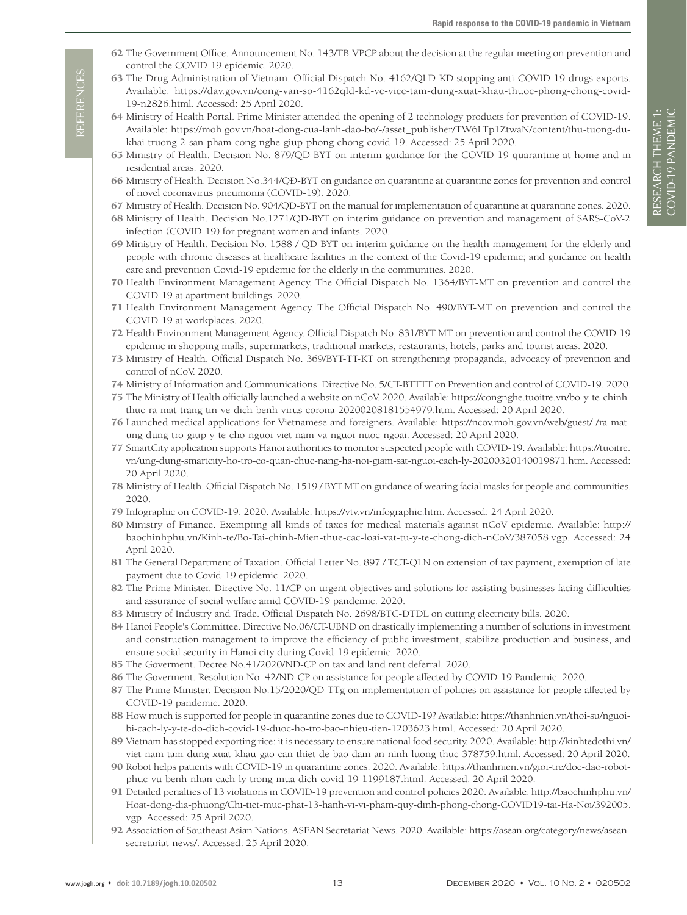- <span id="page-12-0"></span>62 The Government Office. Announcement No. 143/TB-VPCP about the decision at the regular meeting on prevention and control the COVID-19 epidemic. 2020.
- <span id="page-12-1"></span>63 The Drug Administration of Vietnam. Official Dispatch No. 4162/QLD-KD stopping anti-COVID-19 drugs exports. Available: https://dav.gov.vn/cong-van-so-4162qld-kd-ve-viec-tam-dung-xuat-khau-thuoc-phong-chong-covid-19-n2826.html. Accessed: 25 April 2020.
- <span id="page-12-2"></span>64 Ministry of Health Portal. Prime Minister attended the opening of 2 technology products for prevention of COVID-19. Available: https://moh.gov.vn/hoat-dong-cua-lanh-dao-bo/-/asset\_publisher/TW6LTp1ZtwaN/content/thu-tuong-dukhai-truong-2-san-pham-cong-nghe-giup-phong-chong-covid-19. Accessed: 25 April 2020.
- <span id="page-12-3"></span>65 Ministry of Health. Decision No. 879/QD-BYT on interim guidance for the COVID-19 quarantine at home and in residential areas. 2020.
- <span id="page-12-29"></span>66 Ministry of Health. Decision No.344/QÐ-BYT on guidance on quarantine at quarantine zones for prevention and control of novel coronavirus pneumonia (COVID-19). 2020.
- <span id="page-12-4"></span>67 Ministry of Health. Decision No. 904/QD-BYT on the manual for implementation of quarantine at quarantine zones. 2020.
- <span id="page-12-5"></span>68 Ministry of Health. Decision No.1271/QD-BYT on interim guidance on prevention and management of SARS-CoV-2 infection (COVID-19) for pregnant women and infants. 2020.
- <span id="page-12-6"></span>69 Ministry of Health. Decision No. 1588 / QD-BYT on interim guidance on the health management for the elderly and people with chronic diseases at healthcare facilities in the context of the Covid-19 epidemic; and guidance on health care and prevention Covid-19 epidemic for the elderly in the communities. 2020.
- <span id="page-12-7"></span>70 Health Environment Management Agency. The Official Dispatch No. 1364/BYT-MT on prevention and control the COVID-19 at apartment buildings. 2020.
- 71 Health Environment Management Agency. The Official Dispatch No. 490/BYT-MT on prevention and control the COVID-19 at workplaces. 2020.
- <span id="page-12-8"></span>72 Health Environment Management Agency. Official Dispatch No. 831/BYT-MT on prevention and control the COVID-19 epidemic in shopping malls, supermarkets, traditional markets, restaurants, hotels, parks and tourist areas. 2020.
- <span id="page-12-9"></span>73 Ministry of Health. Official Dispatch No. 369/BYT-TT-KT on strengthening propaganda, advocacy of prevention and control of nCoV. 2020.
- <span id="page-12-10"></span>74 Ministry of Information and Communications. Directive No. 5/CT-BTTTT on Prevention and control of COVID-19. 2020.
- <span id="page-12-11"></span>75 The Ministry of Health officially launched a website on nCoV. 2020. Available: https://congnghe.tuoitre.vn/bo-y-te-chinhthuc-ra-mat-trang-tin-ve-dich-benh-virus-corona-20200208181554979.htm. Accessed: 20 April 2020.
- <span id="page-12-12"></span>76 Launched medical applications for Vietnamese and foreigners. Available: https://ncov.moh.gov.vn/web/guest/-/ra-matung-dung-tro-giup-y-te-cho-nguoi-viet-nam-va-nguoi-nuoc-ngoai. Accessed: 20 April 2020.
- <span id="page-12-13"></span>77 SmartCity application supports Hanoi authorities to monitor suspected people with COVID-19. Available: https://tuoitre. vn/ung-dung-smartcity-ho-tro-co-quan-chuc-nang-ha-noi-giam-sat-nguoi-cach-ly-20200320140019871.htm. Accessed: 20 April 2020.
- <span id="page-12-14"></span>78 Ministry of Health. Official Dispatch No. 1519 / BYT-MT on guidance of wearing facial masks for people and communities. 2020.
- <span id="page-12-15"></span>79 Infographic on COVID-19. 2020. Available: https://vtv.vn/infographic.htm. Accessed: 24 April 2020.
- <span id="page-12-16"></span>80 Ministry of Finance. Exempting all kinds of taxes for medical materials against nCoV epidemic. Available: http:// baochinhphu.vn/Kinh-te/Bo-Tai-chinh-Mien-thue-cac-loai-vat-tu-y-te-chong-dich-nCoV/387058.vgp. Accessed: 24 April 2020.
- <span id="page-12-17"></span>81 The General Department of Taxation. Official Letter No. 897 / TCT-QLN on extension of tax payment, exemption of late payment due to Covid-19 epidemic. 2020.
- <span id="page-12-18"></span>82 The Prime Minister. Directive No. 11/CP on urgent objectives and solutions for assisting businesses facing difficulties and assurance of social welfare amid COVID-19 pandemic. 2020.
- <span id="page-12-19"></span>83 Ministry of Industry and Trade. Official Dispatch No. 2698/BTC-DTDL on cutting electricity bills. 2020.
- <span id="page-12-20"></span>84 Hanoi People's Committee. Directive No.06/CT-UBND on drastically implementing a number of solutions in investment and construction management to improve the efficiency of public investment, stabilize production and business, and ensure social security in Hanoi city during Covid-19 epidemic. 2020.
- <span id="page-12-21"></span>85 The Goverment. Decree No.41/2020/ND-CP on tax and land rent deferral. 2020.
- <span id="page-12-22"></span>86 The Goverment. Resolution No. 42/ND-CP on assistance for people affected by COVID-19 Pandemic. 2020.
- <span id="page-12-23"></span>87 The Prime Minister. Decision No.15/2020/QD-TTg on implementation of policies on assistance for people affected by COVID-19 pandemic. 2020.
- <span id="page-12-24"></span>88 How much is supported for people in quarantine zones due to COVID-19? Available: https://thanhnien.vn/thoi-su/nguoibi-cach-ly-y-te-do-dich-covid-19-duoc-ho-tro-bao-nhieu-tien-1203623.html. Accessed: 20 April 2020.
- <span id="page-12-25"></span>89 Vietnam has stopped exporting rice: it is necessary to ensure national food security. 2020. Available: http://kinhtedothi.vn/ viet-nam-tam-dung-xuat-khau-gao-can-thiet-de-bao-dam-an-ninh-luong-thuc-378759.html. Accessed: 20 April 2020.
- <span id="page-12-26"></span>90 Robot helps patients with COVID-19 in quarantine zones. 2020. Available: https://thanhnien.vn/gioi-tre/doc-dao-robotphuc-vu-benh-nhan-cach-ly-trong-mua-dich-covid-19-1199187.html. Accessed: 20 April 2020.
- <span id="page-12-27"></span>91 Detailed penalties of 13 violations in COVID-19 prevention and control policies 2020. Available: http://baochinhphu.vn/ Hoat-dong-dia-phuong/Chi-tiet-muc-phat-13-hanh-vi-vi-pham-quy-dinh-phong-chong-COVID19-tai-Ha-Noi/392005. vgp. Accessed: 25 April 2020.
- <span id="page-12-28"></span>92 Association of Southeast Asian Nations. ASEAN Secretariat News. 2020. Available: https://asean.org/category/news/aseansecretariat-news/. Accessed: 25 April 2020.